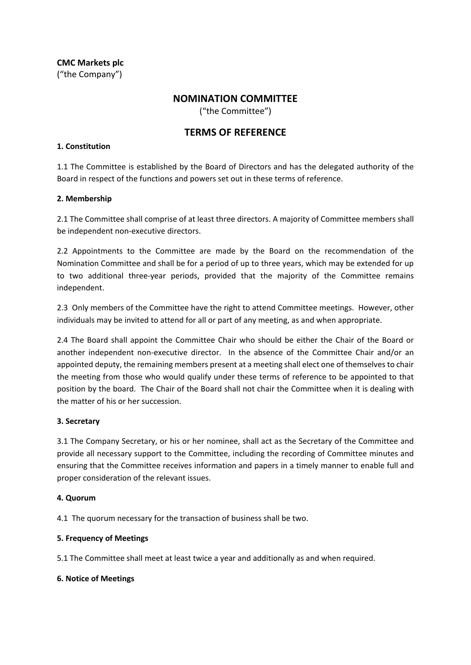**CMC Markets plc** ("the Company")

# **NOMINATION COMMITTEE**

("the Committee")

# **TERMS OF REFERENCE**

### **1. Constitution**

1.1 The Committee is established by the Board of Directors and has the delegated authority of the Board in respect of the functions and powers set out in these terms of reference.

### **2. Membership**

2.1 The Committee shall comprise of at least three directors. A majority of Committee members shall be independent non-executive directors.

2.2 Appointments to the Committee are made by the Board on the recommendation of the Nomination Committee and shall be for a period of up to three years, which may be extended for up to two additional three-year periods, provided that the majority of the Committee remains independent.

2.3 Only members of the Committee have the right to attend Committee meetings. However, other individuals may be invited to attend for all or part of any meeting, as and when appropriate.

2.4 The Board shall appoint the Committee Chair who should be either the Chair of the Board or another independent non-executive director. In the absence of the Committee Chair and/or an appointed deputy, the remaining members present at a meeting shall elect one of themselves to chair the meeting from those who would qualify under these terms of reference to be appointed to that position by the board. The Chair of the Board shall not chair the Committee when it is dealing with the matter of his or her succession.

### **3. Secretary**

3.1 The Company Secretary, or his or her nominee, shall act as the Secretary of the Committee and provide all necessary support to the Committee, including the recording of Committee minutes and ensuring that the Committee receives information and papers in a timely manner to enable full and proper consideration of the relevant issues.

### **4. Quorum**

4.1 The quorum necessary for the transaction of business shall be two.

### **5. Frequency of Meetings**

5.1 The Committee shall meet at least twice a year and additionally as and when required.

### **6. Notice of Meetings**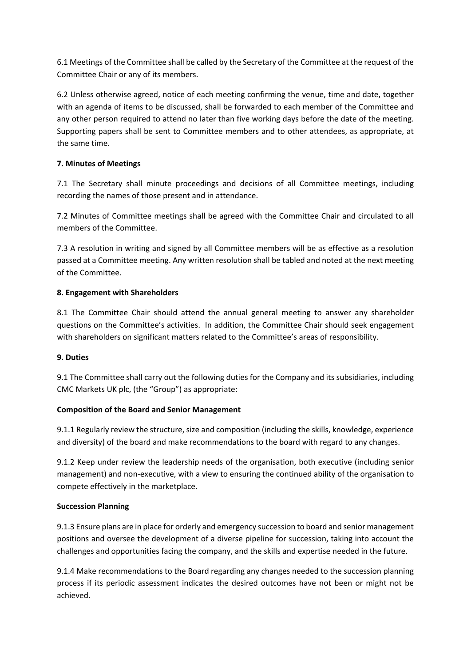6.1 Meetings of the Committee shall be called by the Secretary of the Committee at the request of the Committee Chair or any of its members.

6.2 Unless otherwise agreed, notice of each meeting confirming the venue, time and date, together with an agenda of items to be discussed, shall be forwarded to each member of the Committee and any other person required to attend no later than five working days before the date of the meeting. Supporting papers shall be sent to Committee members and to other attendees, as appropriate, at the same time.

## **7. Minutes of Meetings**

7.1 The Secretary shall minute proceedings and decisions of all Committee meetings, including recording the names of those present and in attendance.

7.2 Minutes of Committee meetings shall be agreed with the Committee Chair and circulated to all members of the Committee.

7.3 A resolution in writing and signed by all Committee members will be as effective as a resolution passed at a Committee meeting. Any written resolution shall be tabled and noted at the next meeting of the Committee.

## **8. Engagement with Shareholders**

8.1 The Committee Chair should attend the annual general meeting to answer any shareholder questions on the Committee's activities. In addition, the Committee Chair should seek engagement with shareholders on significant matters related to the Committee's areas of responsibility.

## **9. Duties**

9.1 The Committee shall carry out the following duties for the Company and its subsidiaries, including CMC Markets UK plc, (the "Group") as appropriate:

## **Composition of the Board and Senior Management**

9.1.1 Regularly review the structure, size and composition (including the skills, knowledge, experience and diversity) of the board and make recommendations to the board with regard to any changes.

9.1.2 Keep under review the leadership needs of the organisation, both executive (including senior management) and non-executive, with a view to ensuring the continued ability of the organisation to compete effectively in the marketplace.

## **Succession Planning**

9.1.3 Ensure plans are in place for orderly and emergency succession to board and senior management positions and oversee the development of a diverse pipeline for succession, taking into account the challenges and opportunities facing the company, and the skills and expertise needed in the future.

9.1.4 Make recommendations to the Board regarding any changes needed to the succession planning process if its periodic assessment indicates the desired outcomes have not been or might not be achieved.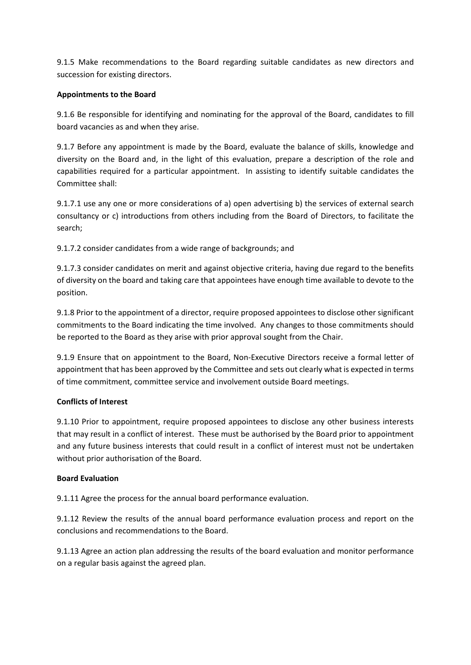9.1.5 Make recommendations to the Board regarding suitable candidates as new directors and succession for existing directors.

### **Appointments to the Board**

9.1.6 Be responsible for identifying and nominating for the approval of the Board, candidates to fill board vacancies as and when they arise.

9.1.7 Before any appointment is made by the Board, evaluate the balance of skills, knowledge and diversity on the Board and, in the light of this evaluation, prepare a description of the role and capabilities required for a particular appointment. In assisting to identify suitable candidates the Committee shall:

9.1.7.1 use any one or more considerations of a) open advertising b) the services of external search consultancy or c) introductions from others including from the Board of Directors, to facilitate the search;

9.1.7.2 consider candidates from a wide range of backgrounds; and

9.1.7.3 consider candidates on merit and against objective criteria, having due regard to the benefits of diversity on the board and taking care that appointees have enough time available to devote to the position.

9.1.8 Prior to the appointment of a director, require proposed appointees to disclose other significant commitments to the Board indicating the time involved. Any changes to those commitments should be reported to the Board as they arise with prior approval sought from the Chair.

9.1.9 Ensure that on appointment to the Board, Non-Executive Directors receive a formal letter of appointment that has been approved by the Committee and sets out clearly what is expected in terms of time commitment, committee service and involvement outside Board meetings.

## **Conflicts of Interest**

9.1.10 Prior to appointment, require proposed appointees to disclose any other business interests that may result in a conflict of interest. These must be authorised by the Board prior to appointment and any future business interests that could result in a conflict of interest must not be undertaken without prior authorisation of the Board.

## **Board Evaluation**

9.1.11 Agree the process for the annual board performance evaluation.

9.1.12 Review the results of the annual board performance evaluation process and report on the conclusions and recommendations to the Board.

9.1.13 Agree an action plan addressing the results of the board evaluation and monitor performance on a regular basis against the agreed plan.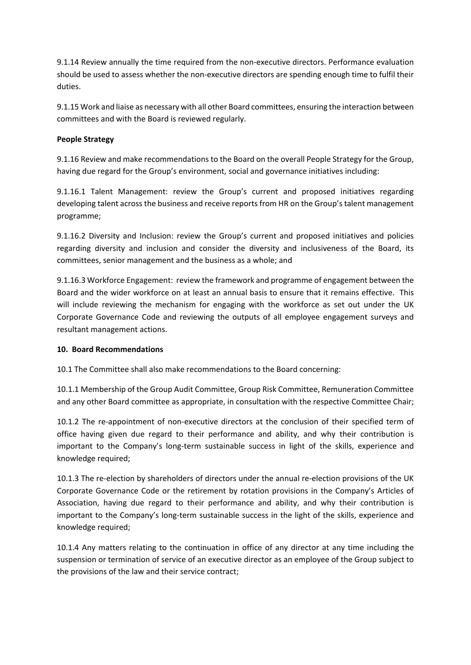9.1.14 Review annually the time required from the non-executive directors. Performance evaluation should be used to assess whether the non-executive directors are spending enough time to fulfil their duties.

9.1.15 Work and liaise as necessary with all other Board committees, ensuring the interaction between committees and with the Board is reviewed regularly.

### **People Strategy**

9.1.16 Review and make recommendations to the Board on the overall People Strategy for the Group, having due regard for the Group's environment, social and governance initiatives including:

9.1.16.1 Talent Management: review the Group's current and proposed initiatives regarding developing talent across the business and receive reports from HR on the Group's talent management programme;

9.1.16.2 Diversity and Inclusion: review the Group's current and proposed initiatives and policies regarding diversity and inclusion and consider the diversity and inclusiveness of the Board, its committees, senior management and the business as a whole; and

9.1.16.3 Workforce Engagement: review the framework and programme of engagement between the Board and the wider workforce on at least an annual basis to ensure that it remains effective. This will include reviewing the mechanism for engaging with the workforce as set out under the UK Corporate Governance Code and reviewing the outputs of all employee engagement surveys and resultant management actions.

### **10. Board Recommendations**

10.1 The Committee shall also make recommendations to the Board concerning:

10.1.1 Membership of the Group Audit Committee, Group Risk Committee, Remuneration Committee and any other Board committee as appropriate, in consultation with the respective Committee Chair;

10.1.2 The re-appointment of non-executive directors at the conclusion of their specified term of office having given due regard to their performance and ability, and why their contribution is important to the Company's long-term sustainable success in light of the skills, experience and knowledge required;

10.1.3 The re-election by shareholders of directors under the annual re-election provisions of the UK Corporate Governance Code or the retirement by rotation provisions in the Company's Articles of Association, having due regard to their performance and ability, and why their contribution is important to the Company's long-term sustainable success in the light of the skills, experience and knowledge required;

10.1.4 Any matters relating to the continuation in office of any director at any time including the suspension or termination of service of an executive director as an employee of the Group subject to the provisions of the law and their service contract;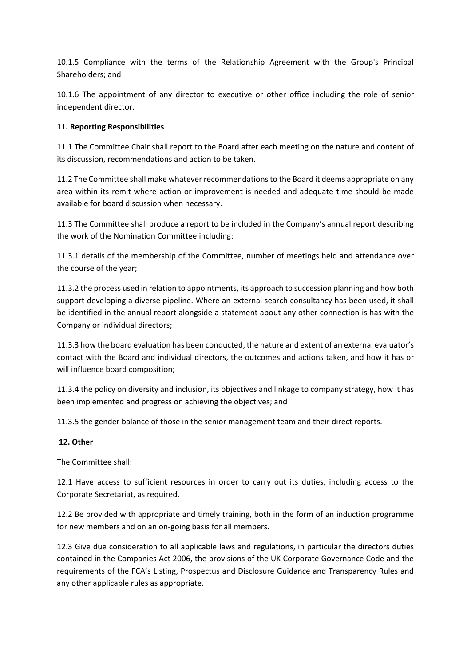10.1.5 Compliance with the terms of the Relationship Agreement with the Group's Principal Shareholders; and

10.1.6 The appointment of any director to executive or other office including the role of senior independent director.

## **11. Reporting Responsibilities**

11.1 The Committee Chair shall report to the Board after each meeting on the nature and content of its discussion, recommendations and action to be taken.

11.2 The Committee shall make whatever recommendations to the Board it deems appropriate on any area within its remit where action or improvement is needed and adequate time should be made available for board discussion when necessary.

11.3 The Committee shall produce a report to be included in the Company's annual report describing the work of the Nomination Committee including:

11.3.1 details of the membership of the Committee, number of meetings held and attendance over the course of the year;

11.3.2 the process used in relation to appointments, its approach to succession planning and how both support developing a diverse pipeline. Where an external search consultancy has been used, it shall be identified in the annual report alongside a statement about any other connection is has with the Company or individual directors;

11.3.3 how the board evaluation has been conducted, the nature and extent of an external evaluator's contact with the Board and individual directors, the outcomes and actions taken, and how it has or will influence board composition;

11.3.4 the policy on diversity and inclusion, its objectives and linkage to company strategy, how it has been implemented and progress on achieving the objectives; and

11.3.5 the gender balance of those in the senior management team and their direct reports.

### **12. Other**

The Committee shall:

12.1 Have access to sufficient resources in order to carry out its duties, including access to the Corporate Secretariat, as required.

12.2 Be provided with appropriate and timely training, both in the form of an induction programme for new members and on an on-going basis for all members.

12.3 Give due consideration to all applicable laws and regulations, in particular the directors duties contained in the Companies Act 2006, the provisions of the UK Corporate Governance Code and the requirements of the FCA's Listing, Prospectus and Disclosure Guidance and Transparency Rules and any other applicable rules as appropriate.